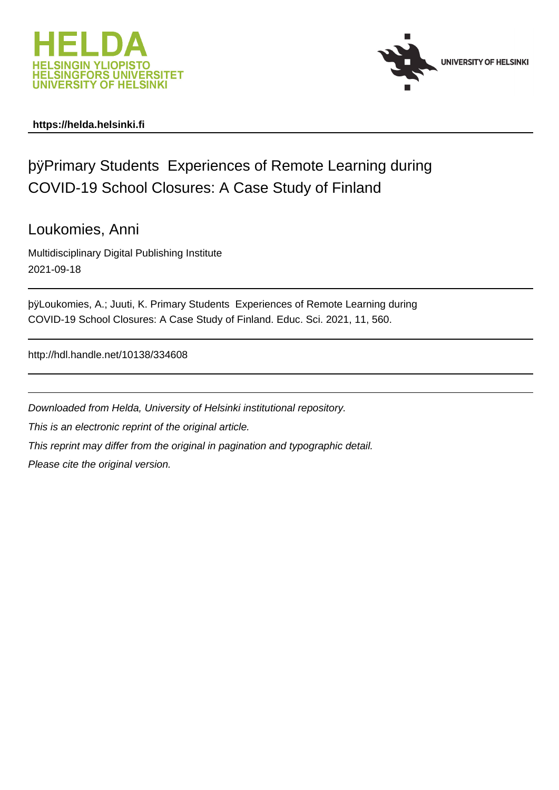



# **https://helda.helsinki.fi**

# þÿPrimary Students Experiences of Remote Learn COVID-19 School Closures: A Case Study of Finland

# Loukomies, Anni

Multidisciplinary Digital Publishing Institute 2021-09-18

by Loukomies, A.; Juuti, K. Primary Students Experiences of Remote Lea COVID-19 School Closures: A Case Study of Finland. Educ. Sci. 2021, 11, 560.

http://hdl.handle.net/10138/334608

Downloaded from Helda, University of Helsinki institutional repository. This is an electronic reprint of the original article. This reprint may differ from the original in pagination and typographic detail. Please cite the original version.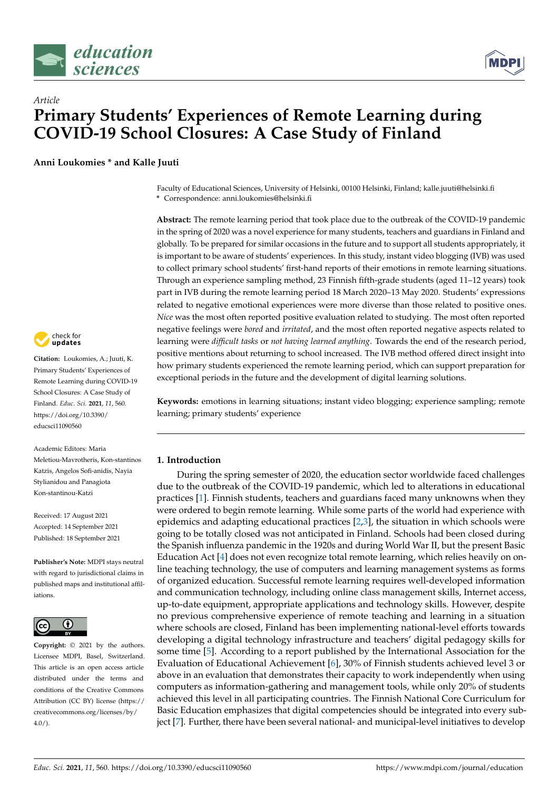



# *Article* **Primary Students' Experiences of Remote Learning during COVID-19 School Closures: A Case Study of Finland**

**Anni Loukomies \* and Kalle Juuti**

Faculty of Educational Sciences, University of Helsinki, 00100 Helsinki, Finland; kalle.juuti@helsinki.fi **\*** Correspondence: anni.loukomies@helsinki.fi

**Abstract:** The remote learning period that took place due to the outbreak of the COVID-19 pandemic in the spring of 2020 was a novel experience for many students, teachers and guardians in Finland and globally. To be prepared for similar occasions in the future and to support all students appropriately, it is important to be aware of students' experiences. In this study, instant video blogging (IVB) was used to collect primary school students' first-hand reports of their emotions in remote learning situations. Through an experience sampling method, 23 Finnish fifth-grade students (aged 11–12 years) took part in IVB during the remote learning period 18 March 2020–13 May 2020. Students' expressions related to negative emotional experiences were more diverse than those related to positive ones. *Nice* was the most often reported positive evaluation related to studying. The most often reported negative feelings were *bored* and *irritated*, and the most often reported negative aspects related to learning were *difficult tasks* or *not having learned anything*. Towards the end of the research period, positive mentions about returning to school increased. The IVB method offered direct insight into how primary students experienced the remote learning period, which can support preparation for exceptional periods in the future and the development of digital learning solutions.

**Keywords:** emotions in learning situations; instant video blogging; experience sampling; remote learning; primary students' experience

### **1. Introduction**

During the spring semester of 2020, the education sector worldwide faced challenges due to the outbreak of the COVID-19 pandemic, which led to alterations in educational practices [1]. Finnish students, teachers and guardians faced many unknowns when they were ordered to begin remote learning. While some parts of the world had experience with epidemics and adapting educational practices [2,3], the situation in which schools were going to be totally closed was not anticipated in Finland. Schools had been closed during the Spanish influenza pandemic in the 1920s and during World War II, but the present Basic Education Act [4] does not even recognize total remote learning, which relies heavily on online teaching technology, the use of computers and learning management systems as forms of organized education. Successful remote learning requires well-developed information and communication technology, including online class management skills, Internet access, up-to-date equipment, appropriate applications and technology skills. However, despite no previous comprehensive experience of remote teaching and learning in a situation where schools are closed, Finland has been implementing national-level efforts towards developing a digital technology infrastructure and teachers' digital pedagogy skills for some time [5]. According to a report published by the International Association for the Evaluation of Educational Achievement [6], 30% of Finnish students achieved level 3 or above in an evaluation that demonstrates their capacity to work independently when using computers as information-gathering and management tools, while only 20% of students achieved this level in all participating countries. The Finnish National Core Curriculum for Basic Education emphasizes that digital competencies should be integrated into every subject [7]. Further, there have been several national- and municipal-level initiatives to develop



**Citation:** Loukomies, A.; Juuti, K. Primary Students' Experiences of Remote Learning during COVID-19 School Closures: A Case Study of Finland. *Educ. Sci.* **2021**, *11*, 560. [https://doi.org/10.3390/](https://doi.org/10.3390/educsci11090560) [educsci11090560](https://doi.org/10.3390/educsci11090560)

Academic Editors: Maria Meletiou-Mavrotheris, Kon-stantinos Katzis, Angelos Sofi-anidis, Nayia Stylianidou and Panagiota Kon-stantinou-Katzi

Received: 17 August 2021 Accepted: 14 September 2021 Published: 18 September 2021

**Publisher's Note:** MDPI stays neutral with regard to jurisdictional claims in published maps and institutional affiliations.



**Copyright:** © 2021 by the authors. Licensee MDPI, Basel, Switzerland. This article is an open access article distributed under the terms and conditions of the Creative Commons Attribution (CC BY) license (https:/[/](https://creativecommons.org/licenses/by/4.0/) [creativecommons.org/licenses/by/](https://creativecommons.org/licenses/by/4.0/)  $4.0/$ ).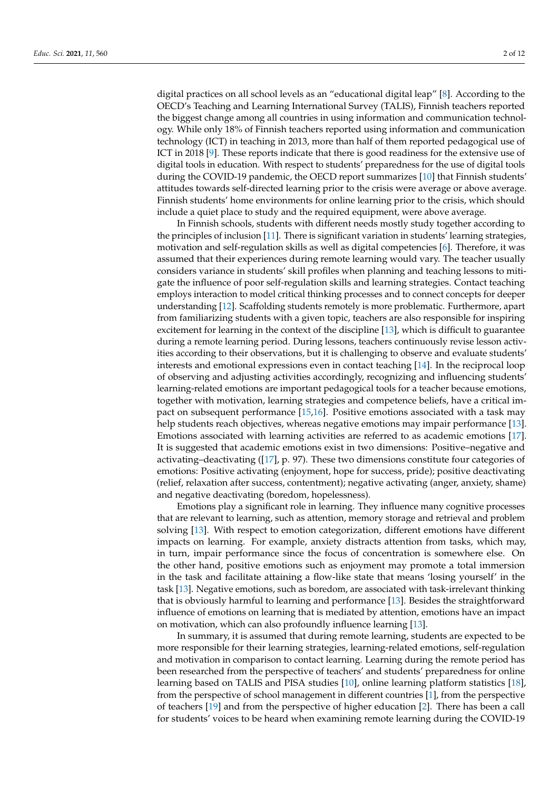digital practices on all school levels as an "educational digital leap" [8]. According to the OECD's Teaching and Learning International Survey (TALIS), Finnish teachers reported the biggest change among all countries in using information and communication technology. While only 18% of Finnish teachers reported using information and communication technology (ICT) in teaching in 2013, more than half of them reported pedagogical use of ICT in 2018 [9]. These reports indicate that there is good readiness for the extensive use of digital tools in education. With respect to students' preparedness for the use of digital tools during the COVID-19 pandemic, the OECD report summarizes [10] that Finnish students' attitudes towards self-directed learning prior to the crisis were average or above average. Finnish students' home environments for online learning prior to the crisis, which should include a quiet place to study and the required equipment, were above average.

In Finnish schools, students with different needs mostly study together according to the principles of inclusion [11]. There is significant variation in students' learning strategies, motivation and self-regulation skills as well as digital competencies [6]. Therefore, it was assumed that their experiences during remote learning would vary. The teacher usually considers variance in students' skill profiles when planning and teaching lessons to mitigate the influence of poor self-regulation skills and learning strategies. Contact teaching employs interaction to model critical thinking processes and to connect concepts for deeper understanding [12]. Scaffolding students remotely is more problematic. Furthermore, apart from familiarizing students with a given topic, teachers are also responsible for inspiring excitement for learning in the context of the discipline [13], which is difficult to guarantee during a remote learning period. During lessons, teachers continuously revise lesson activities according to their observations, but it is challenging to observe and evaluate students' interests and emotional expressions even in contact teaching [14]. In the reciprocal loop of observing and adjusting activities accordingly, recognizing and influencing students' learning-related emotions are important pedagogical tools for a teacher because emotions, together with motivation, learning strategies and competence beliefs, have a critical impact on subsequent performance [15,16]. Positive emotions associated with a task may help students reach objectives, whereas negative emotions may impair performance [13]. Emotions associated with learning activities are referred to as academic emotions [17]. It is suggested that academic emotions exist in two dimensions: Positive–negative and activating–deactivating ([17], p. 97). These two dimensions constitute four categories of emotions: Positive activating (enjoyment, hope for success, pride); positive deactivating (relief, relaxation after success, contentment); negative activating (anger, anxiety, shame) and negative deactivating (boredom, hopelessness).

Emotions play a significant role in learning. They influence many cognitive processes that are relevant to learning, such as attention, memory storage and retrieval and problem solving [13]. With respect to emotion categorization, different emotions have different impacts on learning. For example, anxiety distracts attention from tasks, which may, in turn, impair performance since the focus of concentration is somewhere else. On the other hand, positive emotions such as enjoyment may promote a total immersion in the task and facilitate attaining a flow-like state that means 'losing yourself' in the task [13]. Negative emotions, such as boredom, are associated with task-irrelevant thinking that is obviously harmful to learning and performance [13]. Besides the straightforward influence of emotions on learning that is mediated by attention, emotions have an impact on motivation, which can also profoundly influence learning [13].

In summary, it is assumed that during remote learning, students are expected to be more responsible for their learning strategies, learning-related emotions, self-regulation and motivation in comparison to contact learning. Learning during the remote period has been researched from the perspective of teachers' and students' preparedness for online learning based on TALIS and PISA studies [10], online learning platform statistics [18], from the perspective of school management in different countries [1], from the perspective of teachers [19] and from the perspective of higher education [2]. There has been a call for students' voices to be heard when examining remote learning during the COVID-19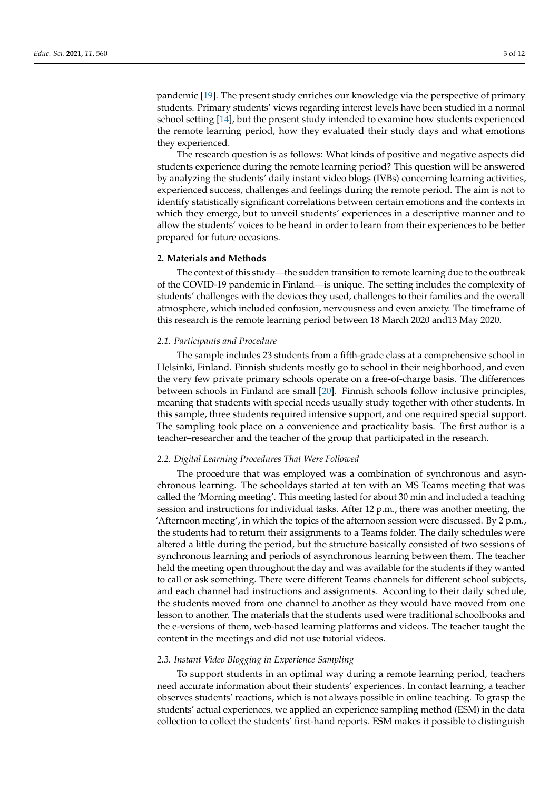pandemic [19]. The present study enriches our knowledge via the perspective of primary students. Primary students' views regarding interest levels have been studied in a normal school setting [14], but the present study intended to examine how students experienced the remote learning period, how they evaluated their study days and what emotions they experienced.

The research question is as follows: What kinds of positive and negative aspects did students experience during the remote learning period? This question will be answered by analyzing the students' daily instant video blogs (IVBs) concerning learning activities, experienced success, challenges and feelings during the remote period. The aim is not to identify statistically significant correlations between certain emotions and the contexts in which they emerge, but to unveil students' experiences in a descriptive manner and to allow the students' voices to be heard in order to learn from their experiences to be better prepared for future occasions.

#### **2. Materials and Methods**

The context of this study—the sudden transition to remote learning due to the outbreak of the COVID-19 pandemic in Finland—is unique. The setting includes the complexity of students' challenges with the devices they used, challenges to their families and the overall atmosphere, which included confusion, nervousness and even anxiety. The timeframe of this research is the remote learning period between 18 March 2020 and13 May 2020.

#### *2.1. Participants and Procedure*

The sample includes 23 students from a fifth-grade class at a comprehensive school in Helsinki, Finland. Finnish students mostly go to school in their neighborhood, and even the very few private primary schools operate on a free-of-charge basis. The differences between schools in Finland are small [20]. Finnish schools follow inclusive principles, meaning that students with special needs usually study together with other students. In this sample, three students required intensive support, and one required special support. The sampling took place on a convenience and practicality basis. The first author is a teacher–researcher and the teacher of the group that participated in the research.

#### *2.2. Digital Learning Procedures That Were Followed*

The procedure that was employed was a combination of synchronous and asynchronous learning. The schooldays started at ten with an MS Teams meeting that was called the 'Morning meeting'. This meeting lasted for about 30 min and included a teaching session and instructions for individual tasks. After 12 p.m., there was another meeting, the 'Afternoon meeting', in which the topics of the afternoon session were discussed. By 2 p.m., the students had to return their assignments to a Teams folder. The daily schedules were altered a little during the period, but the structure basically consisted of two sessions of synchronous learning and periods of asynchronous learning between them. The teacher held the meeting open throughout the day and was available for the students if they wanted to call or ask something. There were different Teams channels for different school subjects, and each channel had instructions and assignments. According to their daily schedule, the students moved from one channel to another as they would have moved from one lesson to another. The materials that the students used were traditional schoolbooks and the e-versions of them, web-based learning platforms and videos. The teacher taught the content in the meetings and did not use tutorial videos.

#### *2.3. Instant Video Blogging in Experience Sampling*

To support students in an optimal way during a remote learning period, teachers need accurate information about their students' experiences. In contact learning, a teacher observes students' reactions, which is not always possible in online teaching. To grasp the students' actual experiences, we applied an experience sampling method (ESM) in the data collection to collect the students' first-hand reports. ESM makes it possible to distinguish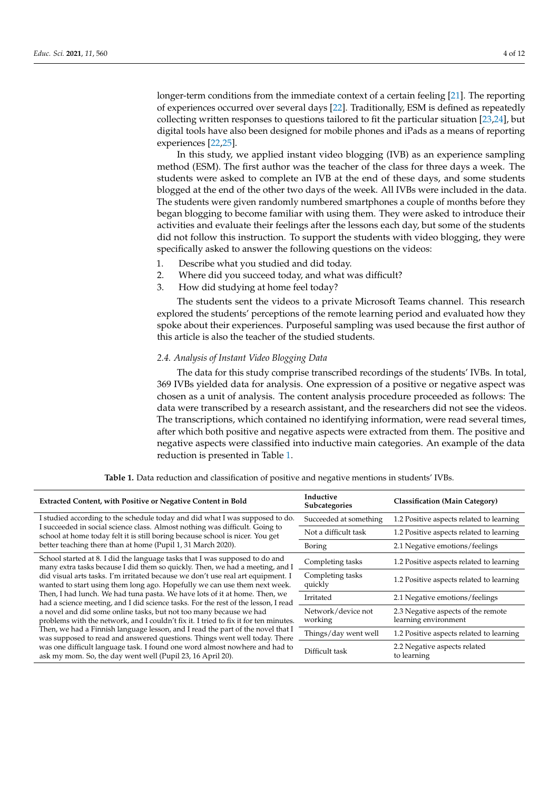longer-term conditions from the immediate context of a certain feeling [21]. The reporting of experiences occurred over several days [22]. Traditionally, ESM is defined as repeatedly collecting written responses to questions tailored to fit the particular situation [23,24], but digital tools have also been designed for mobile phones and iPads as a means of reporting experiences [22,25].

In this study, we applied instant video blogging (IVB) as an experience sampling method (ESM). The first author was the teacher of the class for three days a week. The students were asked to complete an IVB at the end of these days, and some students blogged at the end of the other two days of the week. All IVBs were included in the data. The students were given randomly numbered smartphones a couple of months before they began blogging to become familiar with using them. They were asked to introduce their activities and evaluate their feelings after the lessons each day, but some of the students did not follow this instruction. To support the students with video blogging, they were specifically asked to answer the following questions on the videos:

- 1. Describe what you studied and did today.
- 2. Where did you succeed today, and what was difficult?
- 3. How did studying at home feel today?

The students sent the videos to a private Microsoft Teams channel. This research explored the students' perceptions of the remote learning period and evaluated how they spoke about their experiences. Purposeful sampling was used because the first author of this article is also the teacher of the studied students.

#### *2.4. Analysis of Instant Video Blogging Data*

The data for this study comprise transcribed recordings of the students' IVBs. In total, 369 IVBs yielded data for analysis. One expression of a positive or negative aspect was chosen as a unit of analysis. The content analysis procedure proceeded as follows: The data were transcribed by a research assistant, and the researchers did not see the videos. The transcriptions, which contained no identifying information, were read several times, after which both positive and negative aspects were extracted from them. The positive and negative aspects were classified into inductive main categories. An example of the data reduction is presented in Table 1.

| <b>Extracted Content, with Positive or Negative Content in Bold</b>                                                                                                                                                                                                                                                                                                                                                                                                                                                                                                                                                                                                                                                                                                                                                                                                                                                                                                          | Inductive<br>Subcategories    | <b>Classification (Main Category)</b>                      |
|------------------------------------------------------------------------------------------------------------------------------------------------------------------------------------------------------------------------------------------------------------------------------------------------------------------------------------------------------------------------------------------------------------------------------------------------------------------------------------------------------------------------------------------------------------------------------------------------------------------------------------------------------------------------------------------------------------------------------------------------------------------------------------------------------------------------------------------------------------------------------------------------------------------------------------------------------------------------------|-------------------------------|------------------------------------------------------------|
| I studied according to the schedule today and did what I was supposed to do.<br>I succeeded in social science class. Almost nothing was difficult. Going to<br>school at home today felt it is still boring because school is nicer. You get<br>better teaching there than at home (Pupil 1, 31 March 2020).                                                                                                                                                                                                                                                                                                                                                                                                                                                                                                                                                                                                                                                                 | Succeeded at something        | 1.2 Positive aspects related to learning                   |
|                                                                                                                                                                                                                                                                                                                                                                                                                                                                                                                                                                                                                                                                                                                                                                                                                                                                                                                                                                              | Not a difficult task          | 1.2 Positive aspects related to learning                   |
|                                                                                                                                                                                                                                                                                                                                                                                                                                                                                                                                                                                                                                                                                                                                                                                                                                                                                                                                                                              | Boring                        | 2.1 Negative emotions/feelings                             |
| School started at 8. I did the language tasks that I was supposed to do and<br>many extra tasks because I did them so quickly. Then, we had a meeting, and I<br>did visual arts tasks. I'm irritated because we don't use real art equipment. I<br>wanted to start using them long ago. Hopefully we can use them next week.<br>Then, I had lunch. We had tuna pasta. We have lots of it at home. Then, we<br>had a science meeting, and I did science tasks. For the rest of the lesson, I read<br>a novel and did some online tasks, but not too many because we had<br>problems with the network, and I couldn't fix it. I tried to fix it for ten minutes.<br>Then, we had a Finnish language lesson, and I read the part of the novel that I<br>was supposed to read and answered questions. Things went well today. There<br>was one difficult language task. I found one word almost nowhere and had to<br>ask my mom. So, the day went well (Pupil 23, 16 April 20). | Completing tasks              | 1.2 Positive aspects related to learning                   |
|                                                                                                                                                                                                                                                                                                                                                                                                                                                                                                                                                                                                                                                                                                                                                                                                                                                                                                                                                                              | Completing tasks<br>quickly   | 1.2 Positive aspects related to learning                   |
|                                                                                                                                                                                                                                                                                                                                                                                                                                                                                                                                                                                                                                                                                                                                                                                                                                                                                                                                                                              | Irritated                     | 2.1 Negative emotions/feelings                             |
|                                                                                                                                                                                                                                                                                                                                                                                                                                                                                                                                                                                                                                                                                                                                                                                                                                                                                                                                                                              | Network/device not<br>working | 2.3 Negative aspects of the remote<br>learning environment |
|                                                                                                                                                                                                                                                                                                                                                                                                                                                                                                                                                                                                                                                                                                                                                                                                                                                                                                                                                                              | Things/day went well          | 1.2 Positive aspects related to learning                   |
|                                                                                                                                                                                                                                                                                                                                                                                                                                                                                                                                                                                                                                                                                                                                                                                                                                                                                                                                                                              | Difficult task                | 2.2 Negative aspects related<br>to learning                |

**Table 1.** Data reduction and classification of positive and negative mentions in students' IVBs.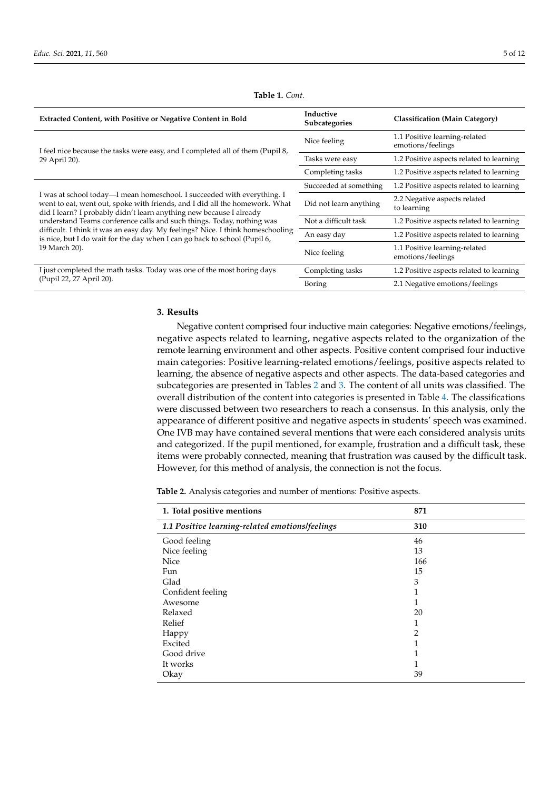| <b>Extracted Content, with Positive or Negative Content in Bold</b>                                                                                                                                                                                                                                                                                                                                                                                                                     | Inductive<br>Subcategories | <b>Classification (Main Category)</b>              |
|-----------------------------------------------------------------------------------------------------------------------------------------------------------------------------------------------------------------------------------------------------------------------------------------------------------------------------------------------------------------------------------------------------------------------------------------------------------------------------------------|----------------------------|----------------------------------------------------|
| I feel nice because the tasks were easy, and I completed all of them (Pupil 8,<br>29 April 20).                                                                                                                                                                                                                                                                                                                                                                                         | Nice feeling               | 1.1 Positive learning-related<br>emotions/feelings |
|                                                                                                                                                                                                                                                                                                                                                                                                                                                                                         | Tasks were easy            | 1.2 Positive aspects related to learning           |
|                                                                                                                                                                                                                                                                                                                                                                                                                                                                                         | Completing tasks           | 1.2 Positive aspects related to learning           |
| I was at school today—I mean homeschool. I succeeded with everything. I<br>went to eat, went out, spoke with friends, and I did all the homework. What<br>did I learn? I probably didn't learn anything new because I already<br>understand Teams conference calls and such things. Today, nothing was<br>difficult. I think it was an easy day. My feelings? Nice. I think homeschooling<br>is nice, but I do wait for the day when I can go back to school (Pupil 6,<br>19 March 20). | Succeeded at something     | 1.2 Positive aspects related to learning           |
|                                                                                                                                                                                                                                                                                                                                                                                                                                                                                         | Did not learn anything     | 2.2 Negative aspects related<br>to learning        |
|                                                                                                                                                                                                                                                                                                                                                                                                                                                                                         | Not a difficult task       | 1.2 Positive aspects related to learning           |
|                                                                                                                                                                                                                                                                                                                                                                                                                                                                                         | An easy day                | 1.2 Positive aspects related to learning           |
|                                                                                                                                                                                                                                                                                                                                                                                                                                                                                         | Nice feeling               | 1.1 Positive learning-related<br>emotions/feelings |
| I just completed the math tasks. Today was one of the most boring days<br>(Pupil 22, 27 April 20).                                                                                                                                                                                                                                                                                                                                                                                      | Completing tasks           | 1.2 Positive aspects related to learning           |
|                                                                                                                                                                                                                                                                                                                                                                                                                                                                                         | Boring                     | 2.1 Negative emotions/feelings                     |

## **Table 1.** *Cont.*

#### **3. Results**

Negative content comprised four inductive main categories: Negative emotions/feelings, negative aspects related to learning, negative aspects related to the organization of the remote learning environment and other aspects. Positive content comprised four inductive main categories: Positive learning-related emotions/feelings, positive aspects related to learning, the absence of negative aspects and other aspects. The data-based categories and subcategories are presented in Tables 2 and 3. The content of all units was classified. The overall distribution of the content into categories is presented in Table 4. The classifications were discussed between two researchers to reach a consensus. In this analysis, only the appearance of different positive and negative aspects in students' speech was examined. One IVB may have contained several mentions that were each considered analysis units and categorized. If the pupil mentioned, for example, frustration and a difficult task, these items were probably connected, meaning that frustration was caused by the difficult task. However, for this method of analysis, the connection is not the focus.

**Table 2.** Analysis categories and number of mentions: Positive aspects.

| 1. Total positive mentions                      | 871            |
|-------------------------------------------------|----------------|
| 1.1 Positive learning-related emotions/feelings | 310            |
| Good feeling                                    | 46             |
| Nice feeling                                    | 13             |
| <b>Nice</b>                                     | 166            |
| Fun                                             | 15             |
| Glad                                            | 3              |
| Confident feeling                               | 1              |
| Awesome                                         | 1              |
| Relaxed                                         | 20             |
| Relief                                          | 1              |
| Happy                                           | $\overline{2}$ |
| Excited                                         | 1              |
| Good drive                                      | 1              |
| It works                                        | 1              |
| Okay                                            | 39             |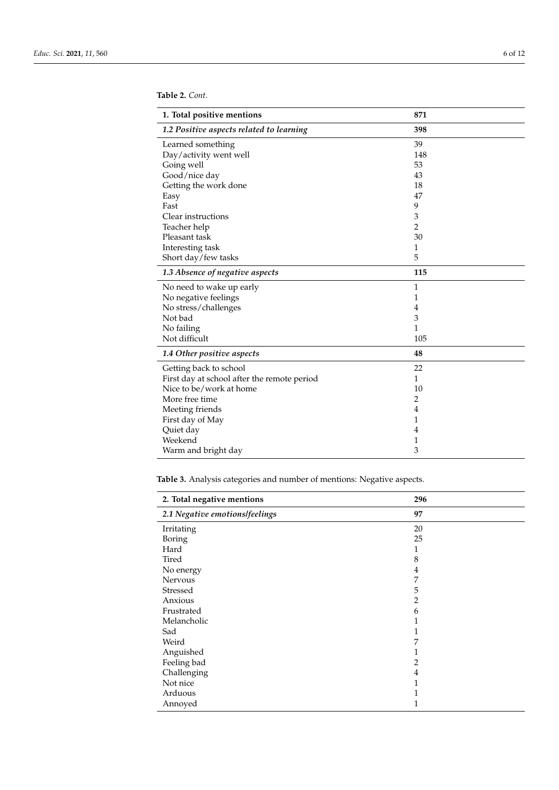**Table 2.** *Cont.*

| 1. Total positive mentions                  | 871            |
|---------------------------------------------|----------------|
| 1.2 Positive aspects related to learning    | 398            |
| Learned something                           | 39             |
| Day/activity went well                      | 148            |
| Going well                                  | 53             |
| Good/nice day                               | 43             |
| Getting the work done                       | 18             |
| Easy                                        | 47             |
| Fast                                        | 9              |
| Clear instructions                          | 3              |
| Teacher help                                | $\overline{c}$ |
| Pleasant task                               | 30             |
| Interesting task                            | 1              |
| Short day/few tasks                         | 5              |
| 1.3 Absence of negative aspects             | 115            |
| No need to wake up early                    | $\mathbf{1}$   |
| No negative feelings                        | 1              |
| No stress/challenges                        | 4              |
| Not bad                                     | 3              |
| No failing                                  | 1              |
| Not difficult                               | 105            |
| 1.4 Other positive aspects                  | 48             |
| Getting back to school                      | 22             |
| First day at school after the remote period | $\mathbf{1}$   |
| Nice to be/work at home                     | 10             |
| More free time                              | $\overline{2}$ |
| Meeting friends                             | $\overline{4}$ |
| First day of May                            | 1              |
| Quiet day                                   | 4              |
| Weekend                                     | 1              |
| Warm and bright day                         | 3              |

**Table 3.** Analysis categories and number of mentions: Negative aspects.

| 2. Total negative mentions     | 296            |
|--------------------------------|----------------|
| 2.1 Negative emotions/feelings | 97             |
| Irritating                     | 20             |
| Boring                         | 25             |
| Hard                           | 1              |
| Tired                          | 8              |
| No energy                      | 4              |
| Nervous                        | 7              |
| Stressed                       | 5              |
| Anxious                        | $\overline{2}$ |
| Frustrated                     | 6              |
| Melancholic                    | 1              |
| Sad                            | 1              |
| Weird                          | 7              |
| Anguished                      | 1              |
| Feeling bad                    | 2              |
| Challenging                    | 4              |
| Not nice                       | 1              |
| Arduous                        | 1              |
| Annoyed                        | 1              |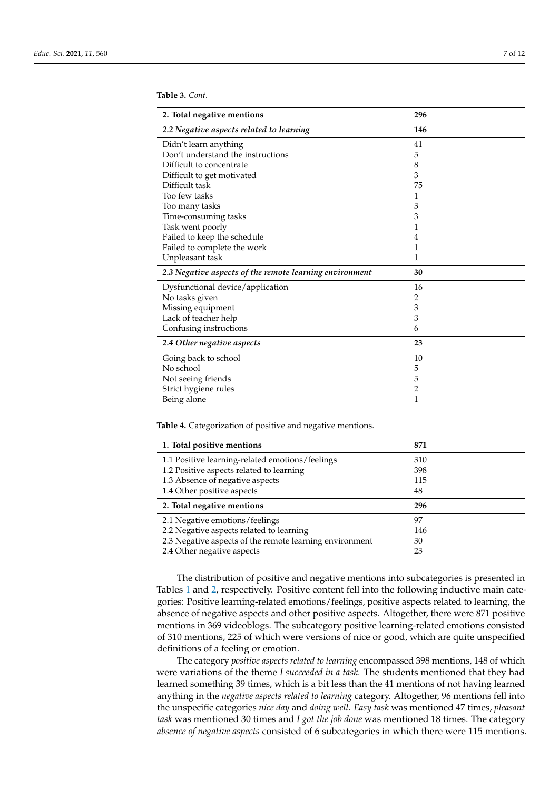**Table 3.** *Cont.*

| 2. Total negative mentions                              | 296            |
|---------------------------------------------------------|----------------|
| 2.2 Negative aspects related to learning                | 146            |
| Didn't learn anything                                   | 41             |
| Don't understand the instructions                       | 5              |
| Difficult to concentrate                                | 8              |
| Difficult to get motivated                              | 3              |
| Difficult task                                          | 75             |
| Too few tasks                                           | 1              |
| Too many tasks                                          | 3              |
| Time-consuming tasks                                    | 3              |
| Task went poorly                                        | 1              |
| Failed to keep the schedule                             | 4              |
| Failed to complete the work                             | 1              |
| Unpleasant task                                         | 1              |
| 2.3 Negative aspects of the remote learning environment | 30             |
| Dysfunctional device/application                        | 16             |
| No tasks given                                          | 2              |
| Missing equipment                                       | 3              |
| Lack of teacher help                                    | 3              |
| Confusing instructions                                  | 6              |
| 2.4 Other negative aspects                              | 23             |
| Going back to school                                    | 10             |
| No school                                               | 5              |
| Not seeing friends                                      | 5              |
| Strict hygiene rules                                    | $\overline{2}$ |
| Being alone                                             | $\mathbf{1}$   |

**Table 4.** Categorization of positive and negative mentions.

| 1. Total positive mentions                              | 871 |
|---------------------------------------------------------|-----|
| 1.1 Positive learning-related emotions/feelings         | 310 |
| 1.2 Positive aspects related to learning                | 398 |
| 1.3 Absence of negative aspects                         | 115 |
| 1.4 Other positive aspects                              | 48  |
| 2. Total negative mentions                              | 296 |
| 2.1 Negative emotions/feelings                          | 97  |
|                                                         |     |
| 2.2 Negative aspects related to learning                | 146 |
| 2.3 Negative aspects of the remote learning environment | 30  |

The distribution of positive and negative mentions into subcategories is presented in Tables 1 and 2, respectively. Positive content fell into the following inductive main categories: Positive learning-related emotions/feelings, positive aspects related to learning, the absence of negative aspects and other positive aspects. Altogether, there were 871 positive mentions in 369 videoblogs. The subcategory positive learning-related emotions consisted of 310 mentions, 225 of which were versions of nice or good, which are quite unspecified definitions of a feeling or emotion.

The category *positive aspects related to learning* encompassed 398 mentions, 148 of which were variations of the theme *I succeeded in a task.* The students mentioned that they had learned something 39 times, which is a bit less than the 41 mentions of not having learned anything in the *negative aspects related to learning* category. Altogether, 96 mentions fell into the unspecific categories *nice day* and *doing well*. *Easy task* was mentioned 47 times, *pleasant task* was mentioned 30 times and *I got the job done* was mentioned 18 times. The category *absence of negative aspects* consisted of 6 subcategories in which there were 115 mentions.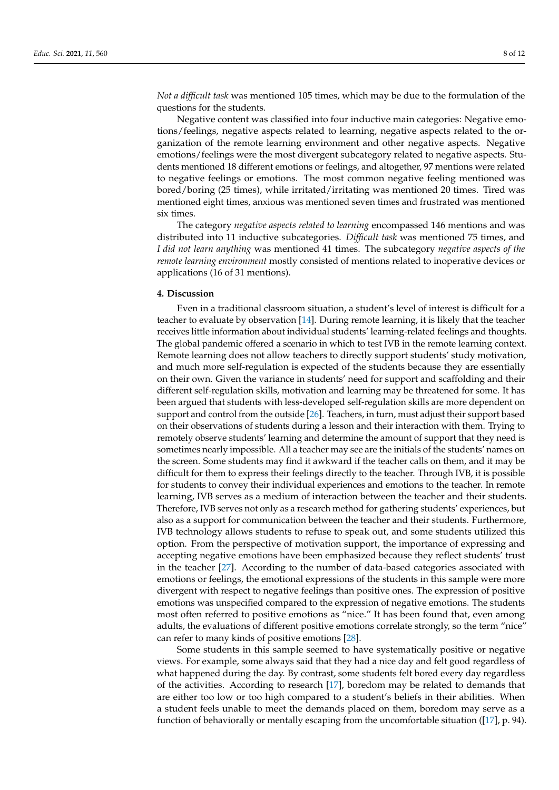*Not a difficult task* was mentioned 105 times, which may be due to the formulation of the questions for the students.

Negative content was classified into four inductive main categories: Negative emotions/feelings, negative aspects related to learning, negative aspects related to the organization of the remote learning environment and other negative aspects. Negative emotions/feelings were the most divergent subcategory related to negative aspects. Students mentioned 18 different emotions or feelings, and altogether, 97 mentions were related to negative feelings or emotions. The most common negative feeling mentioned was bored/boring (25 times), while irritated/irritating was mentioned 20 times. Tired was mentioned eight times, anxious was mentioned seven times and frustrated was mentioned six times.

The category *negative aspects related to learning* encompassed 146 mentions and was distributed into 11 inductive subcategories. *Difficult task* was mentioned 75 times, and *I did not learn anything* was mentioned 41 times. The subcategory *negative aspects of the remote learning environment* mostly consisted of mentions related to inoperative devices or applications (16 of 31 mentions).

#### **4. Discussion**

Even in a traditional classroom situation, a student's level of interest is difficult for a teacher to evaluate by observation [14]. During remote learning, it is likely that the teacher receives little information about individual students' learning-related feelings and thoughts. The global pandemic offered a scenario in which to test IVB in the remote learning context. Remote learning does not allow teachers to directly support students' study motivation, and much more self-regulation is expected of the students because they are essentially on their own. Given the variance in students' need for support and scaffolding and their different self-regulation skills, motivation and learning may be threatened for some. It has been argued that students with less-developed self-regulation skills are more dependent on support and control from the outside [26]. Teachers, in turn, must adjust their support based on their observations of students during a lesson and their interaction with them. Trying to remotely observe students' learning and determine the amount of support that they need is sometimes nearly impossible. All a teacher may see are the initials of the students' names on the screen. Some students may find it awkward if the teacher calls on them, and it may be difficult for them to express their feelings directly to the teacher. Through IVB, it is possible for students to convey their individual experiences and emotions to the teacher. In remote learning, IVB serves as a medium of interaction between the teacher and their students. Therefore, IVB serves not only as a research method for gathering students' experiences, but also as a support for communication between the teacher and their students. Furthermore, IVB technology allows students to refuse to speak out, and some students utilized this option. From the perspective of motivation support, the importance of expressing and accepting negative emotions have been emphasized because they reflect students' trust in the teacher [27]. According to the number of data-based categories associated with emotions or feelings, the emotional expressions of the students in this sample were more divergent with respect to negative feelings than positive ones. The expression of positive emotions was unspecified compared to the expression of negative emotions. The students most often referred to positive emotions as "nice." It has been found that, even among adults, the evaluations of different positive emotions correlate strongly, so the term "nice" can refer to many kinds of positive emotions [28].

Some students in this sample seemed to have systematically positive or negative views. For example, some always said that they had a nice day and felt good regardless of what happened during the day. By contrast, some students felt bored every day regardless of the activities. According to research [17], boredom may be related to demands that are either too low or too high compared to a student's beliefs in their abilities. When a student feels unable to meet the demands placed on them, boredom may serve as a function of behaviorally or mentally escaping from the uncomfortable situation ([17], p. 94).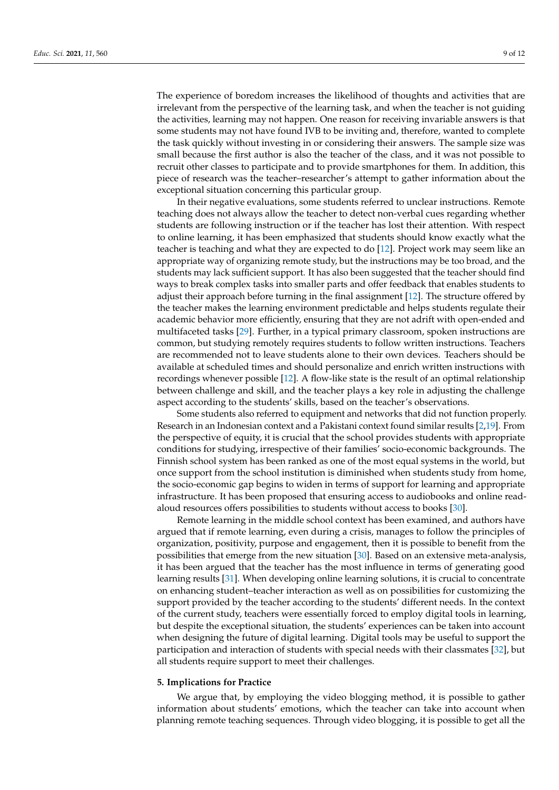The experience of boredom increases the likelihood of thoughts and activities that are irrelevant from the perspective of the learning task, and when the teacher is not guiding the activities, learning may not happen. One reason for receiving invariable answers is that some students may not have found IVB to be inviting and, therefore, wanted to complete the task quickly without investing in or considering their answers. The sample size was small because the first author is also the teacher of the class, and it was not possible to recruit other classes to participate and to provide smartphones for them. In addition, this piece of research was the teacher–researcher's attempt to gather information about the exceptional situation concerning this particular group.

In their negative evaluations, some students referred to unclear instructions. Remote teaching does not always allow the teacher to detect non-verbal cues regarding whether students are following instruction or if the teacher has lost their attention. With respect to online learning, it has been emphasized that students should know exactly what the teacher is teaching and what they are expected to do [12]. Project work may seem like an appropriate way of organizing remote study, but the instructions may be too broad, and the students may lack sufficient support. It has also been suggested that the teacher should find ways to break complex tasks into smaller parts and offer feedback that enables students to adjust their approach before turning in the final assignment [12]. The structure offered by the teacher makes the learning environment predictable and helps students regulate their academic behavior more efficiently, ensuring that they are not adrift with open-ended and multifaceted tasks [29]. Further, in a typical primary classroom, spoken instructions are common, but studying remotely requires students to follow written instructions. Teachers are recommended not to leave students alone to their own devices. Teachers should be available at scheduled times and should personalize and enrich written instructions with recordings whenever possible [12]. A flow-like state is the result of an optimal relationship between challenge and skill, and the teacher plays a key role in adjusting the challenge aspect according to the students' skills, based on the teacher's observations.

Some students also referred to equipment and networks that did not function properly. Research in an Indonesian context and a Pakistani context found similar results [2,19]. From the perspective of equity, it is crucial that the school provides students with appropriate conditions for studying, irrespective of their families' socio-economic backgrounds. The Finnish school system has been ranked as one of the most equal systems in the world, but once support from the school institution is diminished when students study from home, the socio-economic gap begins to widen in terms of support for learning and appropriate infrastructure. It has been proposed that ensuring access to audiobooks and online readaloud resources offers possibilities to students without access to books [30].

Remote learning in the middle school context has been examined, and authors have argued that if remote learning, even during a crisis, manages to follow the principles of organization, positivity, purpose and engagement, then it is possible to benefit from the possibilities that emerge from the new situation [30]. Based on an extensive meta-analysis, it has been argued that the teacher has the most influence in terms of generating good learning results [31]. When developing online learning solutions, it is crucial to concentrate on enhancing student–teacher interaction as well as on possibilities for customizing the support provided by the teacher according to the students' different needs. In the context of the current study, teachers were essentially forced to employ digital tools in learning, but despite the exceptional situation, the students' experiences can be taken into account when designing the future of digital learning. Digital tools may be useful to support the participation and interaction of students with special needs with their classmates [32], but all students require support to meet their challenges.

#### **5. Implications for Practice**

We argue that, by employing the video blogging method, it is possible to gather information about students' emotions, which the teacher can take into account when planning remote teaching sequences. Through video blogging, it is possible to get all the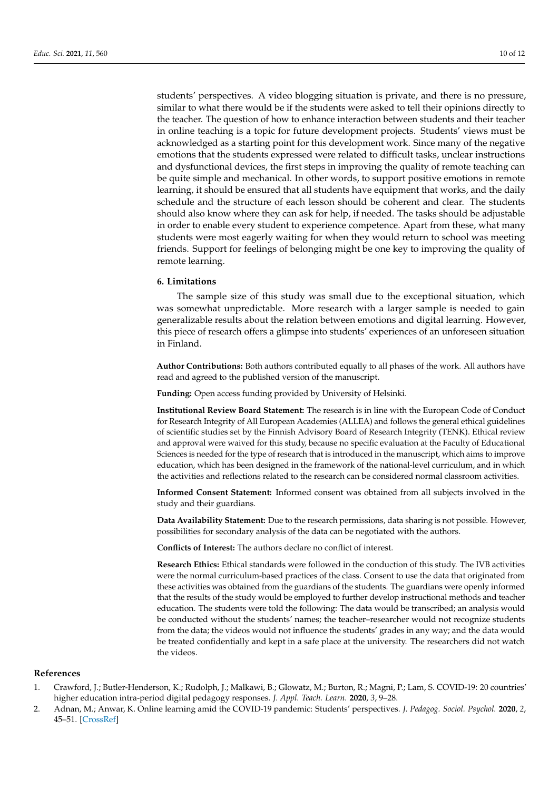students' perspectives. A video blogging situation is private, and there is no pressure, similar to what there would be if the students were asked to tell their opinions directly to the teacher. The question of how to enhance interaction between students and their teacher in online teaching is a topic for future development projects. Students' views must be acknowledged as a starting point for this development work. Since many of the negative emotions that the students expressed were related to difficult tasks, unclear instructions and dysfunctional devices, the first steps in improving the quality of remote teaching can be quite simple and mechanical. In other words, to support positive emotions in remote learning, it should be ensured that all students have equipment that works, and the daily schedule and the structure of each lesson should be coherent and clear. The students should also know where they can ask for help, if needed. The tasks should be adjustable in order to enable every student to experience competence. Apart from these, what many students were most eagerly waiting for when they would return to school was meeting friends. Support for feelings of belonging might be one key to improving the quality of remote learning.

### **6. Limitations**

The sample size of this study was small due to the exceptional situation, which was somewhat unpredictable. More research with a larger sample is needed to gain generalizable results about the relation between emotions and digital learning. However, this piece of research offers a glimpse into students' experiences of an unforeseen situation in Finland.

**Author Contributions:** Both authors contributed equally to all phases of the work. All authors have read and agreed to the published version of the manuscript.

**Funding:** Open access funding provided by University of Helsinki.

**Institutional Review Board Statement:** The research is in line with the European Code of Conduct for Research Integrity of All European Academies (ALLEA) and follows the general ethical guidelines of scientific studies set by the Finnish Advisory Board of Research Integrity (TENK). Ethical review and approval were waived for this study, because no specific evaluation at the Faculty of Educational Sciences is needed for the type of research that is introduced in the manuscript, which aims to improve education, which has been designed in the framework of the national-level curriculum, and in which the activities and reflections related to the research can be considered normal classroom activities.

**Informed Consent Statement:** Informed consent was obtained from all subjects involved in the study and their guardians.

**Data Availability Statement:** Due to the research permissions, data sharing is not possible. However, possibilities for secondary analysis of the data can be negotiated with the authors.

**Conflicts of Interest:** The authors declare no conflict of interest.

**Research Ethics:** Ethical standards were followed in the conduction of this study. The IVB activities were the normal curriculum-based practices of the class. Consent to use the data that originated from these activities was obtained from the guardians of the students. The guardians were openly informed that the results of the study would be employed to further develop instructional methods and teacher education. The students were told the following: The data would be transcribed; an analysis would be conducted without the students' names; the teacher–researcher would not recognize students from the data; the videos would not influence the students' grades in any way; and the data would be treated confidentially and kept in a safe place at the university. The researchers did not watch the videos.

#### **References**

- 1. Crawford, J.; Butler-Henderson, K.; Rudolph, J.; Malkawi, B.; Glowatz, M.; Burton, R.; Magni, P.; Lam, S. COVID-19: 20 countries' higher education intra-period digital pedagogy responses. *J. Appl. Teach. Learn.* **2020**, *3*, 9–28.
- 2. Adnan, M.; Anwar, K. Online learning amid the COVID-19 pandemic: Students' perspectives. *J. Pedagog. Sociol. Psychol.* **2020**, *2*, 45–51. [\[CrossRef\]](http://doi.org/10.33902/JPSP.2020261309)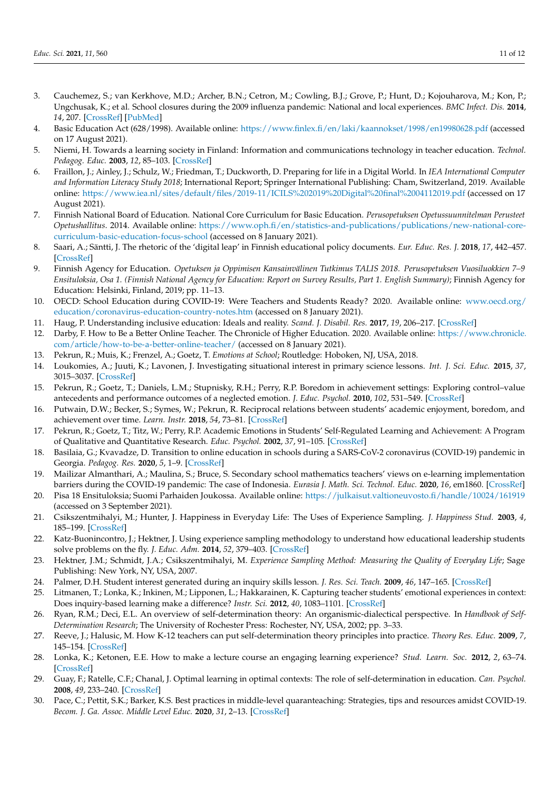- 3. Cauchemez, S.; van Kerkhove, M.D.; Archer, B.N.; Cetron, M.; Cowling, B.J.; Grove, P.; Hunt, D.; Kojouharova, M.; Kon, P.; Ungchusak, K.; et al. School closures during the 2009 influenza pandemic: National and local experiences. *BMC Infect. Dis.* **2014**, *14*, 207. [\[CrossRef\]](http://doi.org/10.1186/1471-2334-14-207) [\[PubMed\]](http://www.ncbi.nlm.nih.gov/pubmed/24739814)
- 4. Basic Education Act (628/1998). Available online: <https://www.finlex.fi/en/laki/kaannokset/1998/en19980628.pdf> (accessed on 17 August 2021).
- 5. Niemi, H. Towards a learning society in Finland: Information and communications technology in teacher education. *Technol. Pedagog. Educ.* **2003**, *12*, 85–103. [\[CrossRef\]](http://doi.org/10.1080/14759390300200147)
- 6. Fraillon, J.; Ainley, J.; Schulz, W.; Friedman, T.; Duckworth, D. Preparing for life in a Digital World. In *IEA International Computer and Information Literacy Study 2018*; International Report; Springer International Publishing: Cham, Switzerland, 2019. Available online: <https://www.iea.nl/sites/default/files/2019-11/ICILS%202019%20Digital%20final%2004112019.pdf> (accessed on 17 August 2021).
- 7. Finnish National Board of Education. National Core Curriculum for Basic Education. *Perusopetuksen Opetussuunnitelman Perusteet Opetushallitus*. 2014. Available online: [https://www.oph.fi/en/statistics-and-publications/publications/new-national-core](https://www.oph.fi/en/statistics-and-publications/publications/new-national-core-curriculum-basic-education-focus-school)[curriculum-basic-education-focus-school](https://www.oph.fi/en/statistics-and-publications/publications/new-national-core-curriculum-basic-education-focus-school) (accessed on 8 January 2021).
- 8. Saari, A.; Säntti, J. The rhetoric of the 'digital leap' in Finnish educational policy documents. *Eur. Educ. Res. J.* **2018**, *17*, 442–457. [\[CrossRef\]](http://doi.org/10.1177/1474904117721373)
- 9. Finnish Agency for Education. *Opetuksen ja Oppimisen Kansainvälinen Tutkimus TALIS 2018. Perusopetuksen Vuosiluokkien 7–9 Ensituloksia, Osa 1. (Finnish National Agency for Education: Report on Survey Results, Part 1. English Summary)*; Finnish Agency for Education: Helsinki, Finland, 2019; pp. 11–13.
- 10. OECD: School Education during COVID-19: Were Teachers and Students Ready? 2020. Available online: [www.oecd.org/](www.oecd.org/education/coronavirus-education-country-notes.htm) [education/coronavirus-education-country-notes.htm](www.oecd.org/education/coronavirus-education-country-notes.htm) (accessed on 8 January 2021).
- 11. Haug, P. Understanding inclusive education: Ideals and reality. *Scand. J. Disabil. Res.* **2017**, *19*, 206–217. [\[CrossRef\]](http://doi.org/10.1080/15017419.2016.1224778)
- 12. Darby, F. How to Be a Better Online Teacher. The Chronicle of Higher Education. 2020. Available online: [https://www.chronicle.](https://www.chronicle.com/article/how-to-be-a-better-online-teacher/) [com/article/how-to-be-a-better-online-teacher/](https://www.chronicle.com/article/how-to-be-a-better-online-teacher/) (accessed on 8 January 2021).
- 13. Pekrun, R.; Muis, K.; Frenzel, A.; Goetz, T. *Emotions at School*; Routledge: Hoboken, NJ, USA, 2018.
- 14. Loukomies, A.; Juuti, K.; Lavonen, J. Investigating situational interest in primary science lessons. *Int. J. Sci. Educ.* **2015**, *37*, 3015–3037. [\[CrossRef\]](http://doi.org/10.1080/09500693.2015.1119909)
- 15. Pekrun, R.; Goetz, T.; Daniels, L.M.; Stupnisky, R.H.; Perry, R.P. Boredom in achievement settings: Exploring control–value antecedents and performance outcomes of a neglected emotion. *J. Educ. Psychol.* **2010**, *102*, 531–549. [\[CrossRef\]](http://doi.org/10.1037/a0019243)
- 16. Putwain, D.W.; Becker, S.; Symes, W.; Pekrun, R. Reciprocal relations between students' academic enjoyment, boredom, and achievement over time. *Learn. Instr.* **2018**, *54*, 73–81. [\[CrossRef\]](http://doi.org/10.1016/j.learninstruc.2017.08.004)
- 17. Pekrun, R.; Goetz, T.; Titz, W.; Perry, R.P. Academic Emotions in Students' Self-Regulated Learning and Achievement: A Program of Qualitative and Quantitative Research. *Educ. Psychol.* **2002**, *37*, 91–105. [\[CrossRef\]](http://doi.org/10.1207/S15326985EP3702_4)
- 18. Basilaia, G.; Kvavadze, D. Transition to online education in schools during a SARS-CoV-2 coronavirus (COVID-19) pandemic in Georgia. *Pedagog. Res.* **2020**, *5*, 1–9. [\[CrossRef\]](http://doi.org/10.29333/pr/7937)
- 19. Mailizar Almanthari, A.; Maulina, S.; Bruce, S. Secondary school mathematics teachers' views on e-learning implementation barriers during the COVID-19 pandemic: The case of Indonesia. *Eurasia J. Math. Sci. Technol. Educ.* **2020**, *16*, em1860. [\[CrossRef\]](http://doi.org/10.29333/ejmste/8240)
- 20. Pisa 18 Ensituloksia; Suomi Parhaiden Joukossa. Available online: <https://julkaisut.valtioneuvosto.fi/handle/10024/161919> (accessed on 3 September 2021).
- 21. Csikszentmihalyi, M.; Hunter, J. Happiness in Everyday Life: The Uses of Experience Sampling. *J. Happiness Stud.* **2003**, *4*, 185–199. [\[CrossRef\]](http://doi.org/10.1023/A:1024409732742)
- 22. Katz-Buonincontro, J.; Hektner, J. Using experience sampling methodology to understand how educational leadership students solve problems on the fly. *J. Educ. Adm.* **2014**, *52*, 379–403. [\[CrossRef\]](http://doi.org/10.1108/JEA-12-2012-0135)
- 23. Hektner, J.M.; Schmidt, J.A.; Csikszentmihalyi, M. *Experience Sampling Method: Measuring the Quality of Everyday Life*; Sage Publishing: New York, NY, USA, 2007.
- 24. Palmer, D.H. Student interest generated during an inquiry skills lesson. *J. Res. Sci. Teach.* **2009**, *46*, 147–165. [\[CrossRef\]](http://doi.org/10.1002/tea.20263)
- 25. Litmanen, T.; Lonka, K.; Inkinen, M.; Lipponen, L.; Hakkarainen, K. Capturing teacher students' emotional experiences in context: Does inquiry-based learning make a difference? *Instr. Sci.* **2012**, *40*, 1083–1101. [\[CrossRef\]](http://doi.org/10.1007/s11251-011-9203-4)
- 26. Ryan, R.M.; Deci, E.L. An overview of self-determination theory: An organismic-dialectical perspective. In *Handbook of Self-Determination Research*; The University of Rochester Press: Rochester, NY, USA, 2002; pp. 3–33.
- 27. Reeve, J.; Halusic, M. How K-12 teachers can put self-determination theory principles into practice. *Theory Res. Educ.* **2009**, *7*, 145–154. [\[CrossRef\]](http://doi.org/10.1177/1477878509104319)
- 28. Lonka, K.; Ketonen, E.E. How to make a lecture course an engaging learning experience? *Stud. Learn. Soc.* **2012**, *2*, 63–74. [\[CrossRef\]](http://doi.org/10.2478/v10240-012-0006-1)
- 29. Guay, F.; Ratelle, C.F.; Chanal, J. Optimal learning in optimal contexts: The role of self-determination in education. *Can. Psychol.* **2008**, *49*, 233–240. [\[CrossRef\]](http://doi.org/10.1037/a0012758)
- 30. Pace, C.; Pettit, S.K.; Barker, K.S. Best practices in middle-level quaranteaching: Strategies, tips and resources amidst COVID-19. *Becom. J. Ga. Assoc. Middle Level Educ.* **2020**, *31*, 2–13. [\[CrossRef\]](http://doi.org/10.20429/becoming.2020.310102)